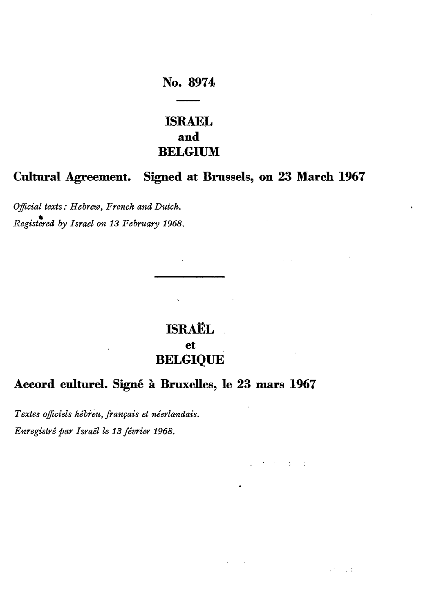## **ISRAEL and BELGIUM**

## **Cultural Agreement. Signed at Brussels, on 23 March 1967**

*Official texts : Hebrew, French and Dutch. Registered by Israel on 13 February 1968.*

# **ISRAËL et**

## **BELGIQUE**

医单元 医白色

 $\mathcal{O}(\mathcal{O})$  and

## **Accord culturel. Signé à Bruxelles, le 23 mars 1967**

*Textes officiels hébreu, français et néerlandais. Enregistré par Israël le 13 février 1968.*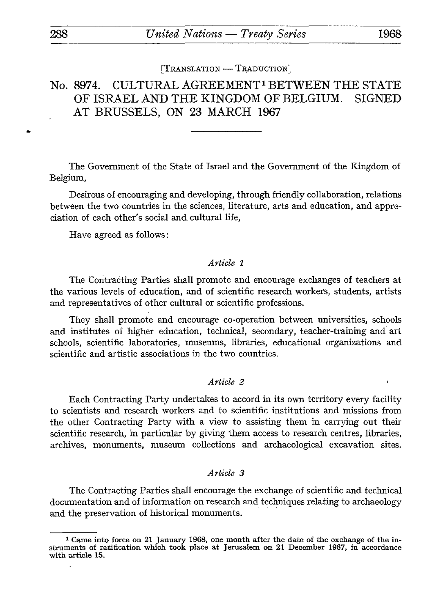$[TransLATION - TRADUCTION]$ 

## No. 8974. CULTUKAL AGREEMENT1 BETWEEN THE STATE OF ISRAEL AND THE KINGDOM OF BELGIUM. SIGNED AT BRUSSELS, ON 23 MARCH 1967

The Government of the State of Israel and the Government of the Kingdom of Belgium,

Desirous of encouraging and developing, through friendly collaboration, relations between the two countries in the sciences, literature, arts and education, and appre ciation of each other's social and cultural life,

Have agreed as follows :

## *Article 1*

The Contracting Parties shall promote and encourage exchanges of teachers at the various levels of education, and of scientific research workers, students, artists and representatives of other cultural or scientific professions.

They shall promote and encourage co-operation between universities, schools and institutes of higher education, technical, secondary, teacher-training and art schools, scientific laboratories, museums, libraries, educational organizations and scientific and artistic associations in the two countries.

## *Article 2* <sup>&</sup>gt;

Each Contracting Party undertakes to accord in its own territory every facility to scientists and research workers and to scientific institutions and missions from the other Contracting Party with a view to assisting them in carrying out their scientific research, in particular by giving them access to research centres, libraries, archives, monuments, museum collections and archaeological excavation sites.

#### *Article 3*

The Contracting Parties shall encourage the exchange of scientific and technical documentation and of information on research and techniques relating to archaeology and the preservation of historical monuments.

 $\sim$ 

<sup>&</sup>lt;sup>1</sup> Came into force on 21 January 1968, one month after the date of the exchange of the in-<br>struments of ratification which took place at Jerusalem on 21 December 1967, in accordance with article 15.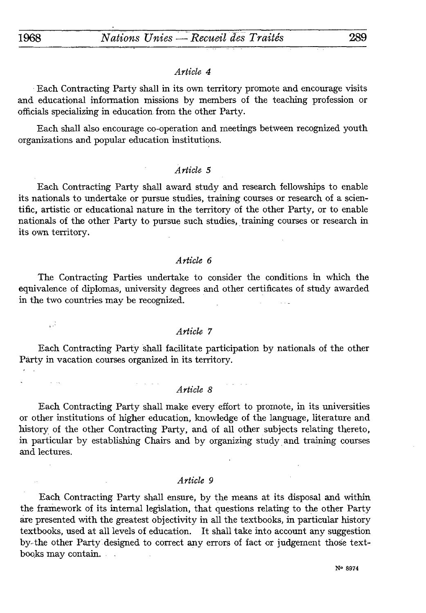## *Article 4*

Each. Contracting Party shall in its own territory promote and encourage visits and educational information missions by members of the teaching profession or officials specializing in education from the other Party.

Each shall also encourage co-operation and meetings between recognized youth organizations and popular education institutions.

#### *Article 5*

Each Contracting Party shall award study and research fellowships to enable its nationals to undertake or pursue studies, training courses or research of a scien tific, artistic or educational nature in the territory of the other Party, or to enable nationals of the other Party to pursue such studies, training courses or research in its own territory.

#### *Article 6*

The Contracting Parties undertake to consider the conditions in which the equivalence of diplomas, university degrees and other certificates of study awarded in the two countries may be recognized.

### *Article 7*

Each Contracting Party shall facilitate participation by nationals of the other Party in vacation courses organized in its territory.

### *Article 8*

**Service** 

Each Contracting Party shall make every effort to promote, in its universities or other institutions of higher education, knowledge of the language, literature and history of the other Contracting Party, and of all other subjects relating thereto, in particular by establishing Chairs and by organizing study and training courses and lectures.

#### *Article 9*

Each Contracting Party shall ensure, by the means at its disposal and within the framework of its internal legislation, that questions relating to the other Party are presented with the greatest objectivity in all the textbooks, in particular history textbooks, used at all levels of education. It shall take into account any suggestion by the other Party designed to correct any errors of fact or judgement those text books may contain.

ψŝ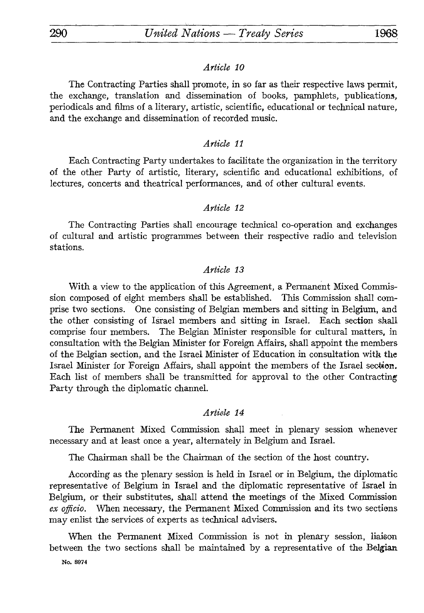## *Article 10*

The Contracting Parties shall promote, in so far as their respective laws permit, the exchange, translation and dissemination of books, pamphlets, publications, periodicals and films of a literary, artistic, scientific, educational or technical nature, and the exchange and dissemination of recorded music.

### *Article 11*

Each Contracting Party undertakes to facilitate the organization in the territory of the other Party of artistic, literary, scientific and educational exhibitions, of lectures, concerts and theatrical performances, and of other cultural events.

## *Article 12*

The Contracting Parties shall encourage technical co-operation and exchanges of cultural and artistic programmes between their respective radio and television stations.

## *Article 13*

With a view to the application of this Agreement, a Permanent Mixed Commis sion composed of eight members shall be established. This Commission shall com prise two sections. One consisting of Belgian members and sitting in Belgium, and the other consisting of Israel members and sitting in Israel. Each section shall comprise four members. The Belgian Minister responsible for cultural matters, in consultation with the Belgian Minister for Foreign Affairs, shall appoint the members of the Belgian section, and the Israel Minister of Education in consultation with the Israel Minister for Foreign Affairs, shall appoint the members of the Israel section. Each list of members shall be transmitted for approval to the other Contracting Party through the diplomatic channel.

## *Artiele 14*

The Permanent Mixed Commission shall meet in plenary session whenever necessary and at least once a year, alternately in Belgium and Israel.

The Chairman shall be the Chairman of the section of the host country.

According as the plenary session is held in Israel or in Belgium, the diplomatic representative of Belgium in Israel and the diplomatic representative of Israel in Belgium, or their substitutes, shall attend the meetings of the Mixed Commission *ex officia.* When necessary, the Permanent Mixed Commission and its two sections may enlist the services of experts as technical advisers.

When the Permanent Mixed Commission is not in plenary session, liaison between the two sections shall be maintained by a representative of the Belgian